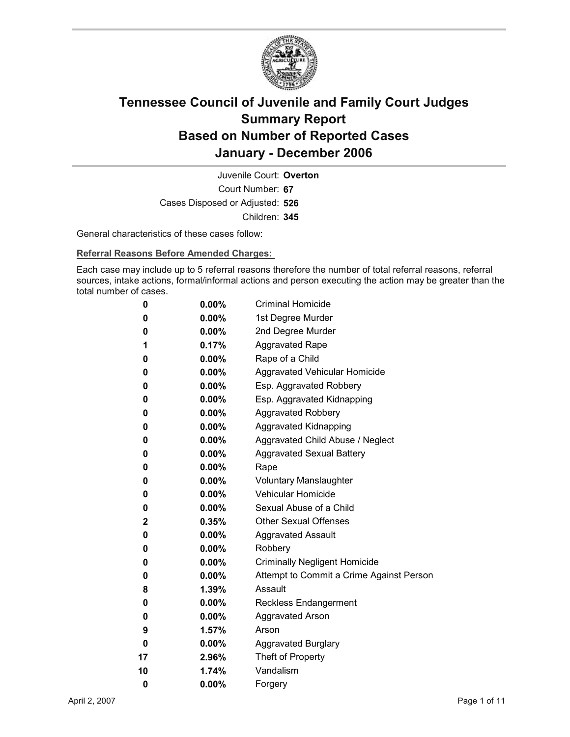

Court Number: **67** Juvenile Court: **Overton** Cases Disposed or Adjusted: **526** Children: **345**

General characteristics of these cases follow:

**Referral Reasons Before Amended Charges:** 

Each case may include up to 5 referral reasons therefore the number of total referral reasons, referral sources, intake actions, formal/informal actions and person executing the action may be greater than the total number of cases.

| 0            | $0.00\%$ | <b>Criminal Homicide</b>                 |
|--------------|----------|------------------------------------------|
| 0            | $0.00\%$ | 1st Degree Murder                        |
| 0            | $0.00\%$ | 2nd Degree Murder                        |
| 1            | 0.17%    | <b>Aggravated Rape</b>                   |
| 0            | $0.00\%$ | Rape of a Child                          |
| 0            | $0.00\%$ | Aggravated Vehicular Homicide            |
| 0            | $0.00\%$ | Esp. Aggravated Robbery                  |
| 0            | $0.00\%$ | Esp. Aggravated Kidnapping               |
| 0            | $0.00\%$ | <b>Aggravated Robbery</b>                |
| 0            | $0.00\%$ | <b>Aggravated Kidnapping</b>             |
| 0            | $0.00\%$ | Aggravated Child Abuse / Neglect         |
| 0            | $0.00\%$ | <b>Aggravated Sexual Battery</b>         |
| 0            | $0.00\%$ | Rape                                     |
| 0            | $0.00\%$ | <b>Voluntary Manslaughter</b>            |
| 0            | $0.00\%$ | <b>Vehicular Homicide</b>                |
| 0            | $0.00\%$ | Sexual Abuse of a Child                  |
| $\mathbf{2}$ | $0.35\%$ | <b>Other Sexual Offenses</b>             |
| 0            | $0.00\%$ | <b>Aggravated Assault</b>                |
| 0            | $0.00\%$ | Robbery                                  |
| 0            | $0.00\%$ | <b>Criminally Negligent Homicide</b>     |
| 0            | $0.00\%$ | Attempt to Commit a Crime Against Person |
| 8            | $1.39\%$ | Assault                                  |
| 0            | $0.00\%$ | <b>Reckless Endangerment</b>             |
| 0            | $0.00\%$ | <b>Aggravated Arson</b>                  |
| 9            | 1.57%    | Arson                                    |
| 0            | $0.00\%$ | <b>Aggravated Burglary</b>               |
| 17           | 2.96%    | Theft of Property                        |
| 10           | 1.74%    | Vandalism                                |
| 0            | 0.00%    | Forgery                                  |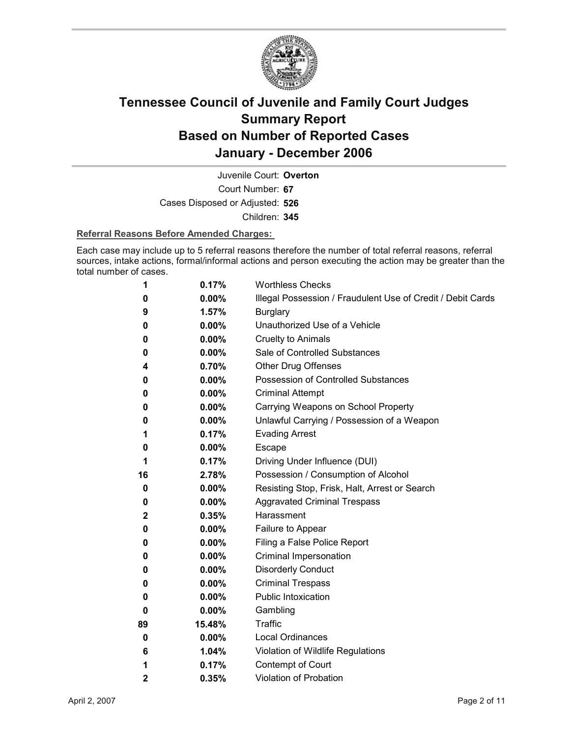

Court Number: **67** Juvenile Court: **Overton** Cases Disposed or Adjusted: **526** Children: **345**

#### **Referral Reasons Before Amended Charges:**

Each case may include up to 5 referral reasons therefore the number of total referral reasons, referral sources, intake actions, formal/informal actions and person executing the action may be greater than the total number of cases.

| 1            | 0.17%    | <b>Worthless Checks</b>                                     |
|--------------|----------|-------------------------------------------------------------|
| 0            | $0.00\%$ | Illegal Possession / Fraudulent Use of Credit / Debit Cards |
| 9            | 1.57%    | <b>Burglary</b>                                             |
| 0            | $0.00\%$ | Unauthorized Use of a Vehicle                               |
| 0            | $0.00\%$ | <b>Cruelty to Animals</b>                                   |
| 0            | $0.00\%$ | Sale of Controlled Substances                               |
| 4            | 0.70%    | <b>Other Drug Offenses</b>                                  |
| 0            | 0.00%    | Possession of Controlled Substances                         |
| 0            | 0.00%    | <b>Criminal Attempt</b>                                     |
| 0            | $0.00\%$ | Carrying Weapons on School Property                         |
| 0            | $0.00\%$ | Unlawful Carrying / Possession of a Weapon                  |
| 1            | 0.17%    | <b>Evading Arrest</b>                                       |
| 0            | $0.00\%$ | Escape                                                      |
| 1            | 0.17%    | Driving Under Influence (DUI)                               |
| 16           | 2.78%    | Possession / Consumption of Alcohol                         |
| 0            | $0.00\%$ | Resisting Stop, Frisk, Halt, Arrest or Search               |
| 0            | $0.00\%$ | <b>Aggravated Criminal Trespass</b>                         |
| $\mathbf{2}$ | 0.35%    | Harassment                                                  |
| 0            | $0.00\%$ | Failure to Appear                                           |
| 0            | $0.00\%$ | Filing a False Police Report                                |
| 0            | 0.00%    | Criminal Impersonation                                      |
| 0            | $0.00\%$ | <b>Disorderly Conduct</b>                                   |
| 0            | 0.00%    | <b>Criminal Trespass</b>                                    |
| 0            | $0.00\%$ | <b>Public Intoxication</b>                                  |
| 0            | $0.00\%$ | Gambling                                                    |
| 89           | 15.48%   | <b>Traffic</b>                                              |
| 0            | $0.00\%$ | <b>Local Ordinances</b>                                     |
| 6            | 1.04%    | Violation of Wildlife Regulations                           |
| 1            | 0.17%    | Contempt of Court                                           |
| 2            | 0.35%    | <b>Violation of Probation</b>                               |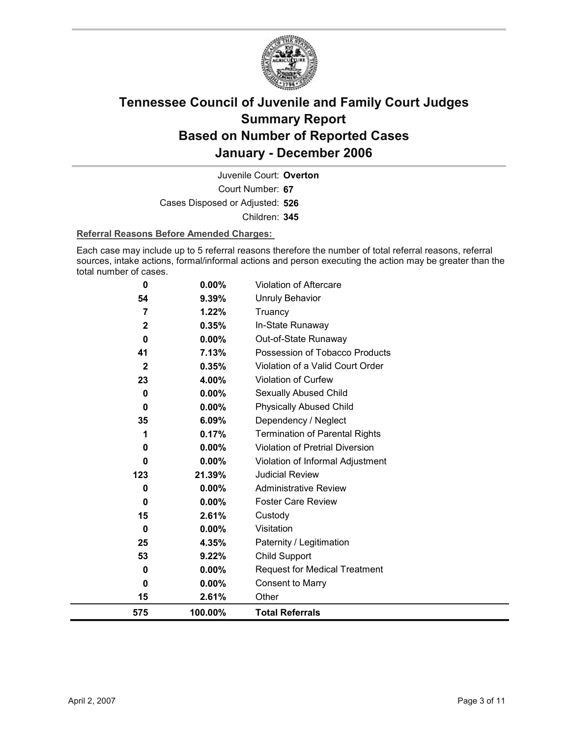

Court Number: **67** Juvenile Court: **Overton** Cases Disposed or Adjusted: **526** Children: **345**

#### **Referral Reasons Before Amended Charges:**

Each case may include up to 5 referral reasons therefore the number of total referral reasons, referral sources, intake actions, formal/informal actions and person executing the action may be greater than the total number of cases.

| 575         | 100.00%  | <b>Total Referrals</b>                |
|-------------|----------|---------------------------------------|
| 15          | 2.61%    | Other                                 |
| 0           | 0.00%    | <b>Consent to Marry</b>               |
| 0           | $0.00\%$ | <b>Request for Medical Treatment</b>  |
| 53          | 9.22%    | <b>Child Support</b>                  |
| 25          | 4.35%    | Paternity / Legitimation              |
| 0           | $0.00\%$ | Visitation                            |
| 15          | 2.61%    | Custody                               |
| 0           | $0.00\%$ | <b>Foster Care Review</b>             |
| 0           | 0.00%    | <b>Administrative Review</b>          |
| 123         | 21.39%   | <b>Judicial Review</b>                |
| 0           | 0.00%    | Violation of Informal Adjustment      |
| 0           | 0.00%    | Violation of Pretrial Diversion       |
| 1           | 0.17%    | <b>Termination of Parental Rights</b> |
| 35          | 6.09%    | Dependency / Neglect                  |
| 0           | 0.00%    | <b>Physically Abused Child</b>        |
| 0           | 0.00%    | Sexually Abused Child                 |
| 23          | 4.00%    | <b>Violation of Curfew</b>            |
| $\mathbf 2$ | 0.35%    | Violation of a Valid Court Order      |
| 41          | 7.13%    | Possession of Tobacco Products        |
| $\bf{0}$    | $0.00\%$ | Out-of-State Runaway                  |
| $\mathbf 2$ | 0.35%    | In-State Runaway                      |
| 7           | 1.22%    | <b>Unruly Behavior</b><br>Truancy     |
| 54          | 9.39%    |                                       |
| 0           | 0.00%    | <b>Violation of Aftercare</b>         |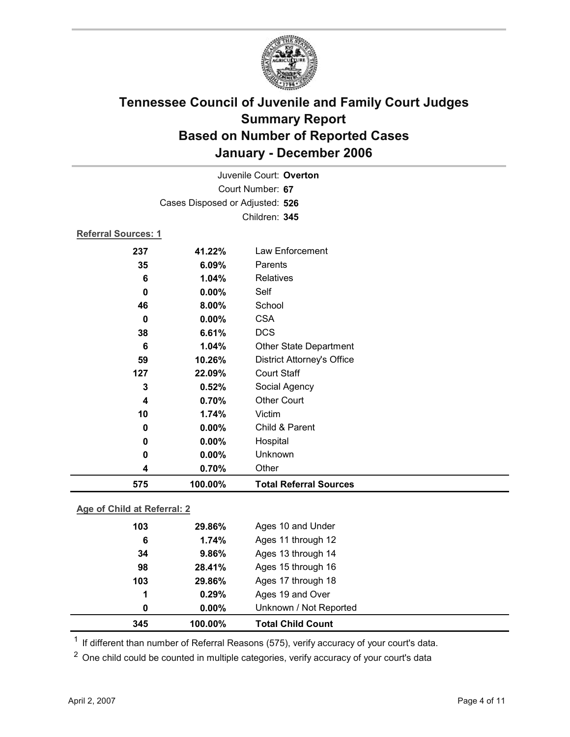

|                            |                                 | Juvenile Court: Overton           |
|----------------------------|---------------------------------|-----------------------------------|
|                            |                                 | Court Number: 67                  |
|                            | Cases Disposed or Adjusted: 526 |                                   |
|                            |                                 | Children: 345                     |
| <b>Referral Sources: 1</b> |                                 |                                   |
| 237                        | 41.22%                          | Law Enforcement                   |
| 35                         | 6.09%                           | Parents                           |
| 6                          | 1.04%                           | <b>Relatives</b>                  |
| 0                          | 0.00%                           | Self                              |
| 46                         | 8.00%                           | School                            |
| 0                          | 0.00%                           | <b>CSA</b>                        |
| 38                         | 6.61%                           | <b>DCS</b>                        |
| 6                          | 1.04%                           | Other State Department            |
| 59                         | 10.26%                          | <b>District Attorney's Office</b> |
| 127                        | 22.09%                          | <b>Court Staff</b>                |
| 3                          | 0.52%                           | Social Agency                     |
| 4                          | 0.70%                           | <b>Other Court</b>                |
| 10                         | 1.74%                           | Victim                            |
| 0                          | 0.00%                           | Child & Parent                    |
| 0                          | 0.00%                           | Hospital                          |
| 0                          | 0.00%                           | Unknown                           |
| 4                          | 0.70%                           | Other                             |
| 575                        | 100.00%                         | <b>Total Referral Sources</b>     |

### **Age of Child at Referral: 2**

| 345 | 100.00%  | <b>Total Child Count</b> |  |
|-----|----------|--------------------------|--|
| 0   | $0.00\%$ | Unknown / Not Reported   |  |
| 1   | 0.29%    | Ages 19 and Over         |  |
| 103 | 29.86%   | Ages 17 through 18       |  |
| 98  | 28.41%   | Ages 15 through 16       |  |
| 34  | 9.86%    | Ages 13 through 14       |  |
| 6   | 1.74%    | Ages 11 through 12       |  |
| 103 | 29.86%   | Ages 10 and Under        |  |
|     |          |                          |  |

<sup>1</sup> If different than number of Referral Reasons (575), verify accuracy of your court's data.

<sup>2</sup> One child could be counted in multiple categories, verify accuracy of your court's data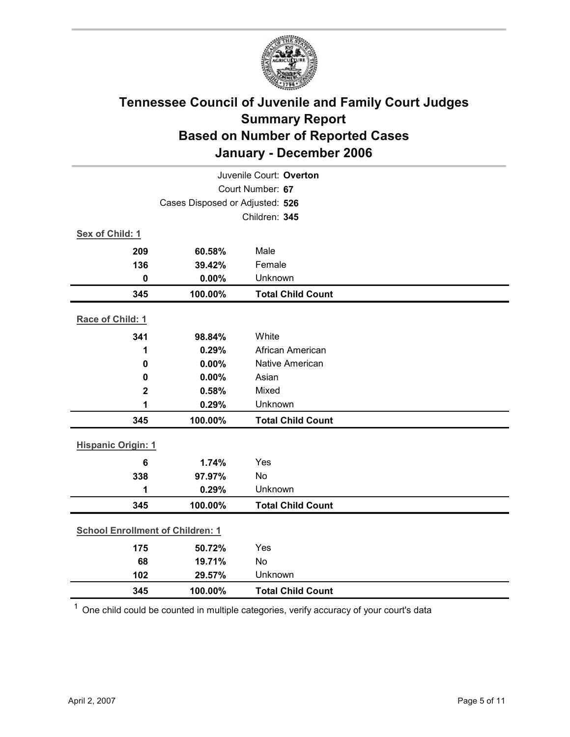

| Juvenile Court: Overton                 |                                 |                          |  |
|-----------------------------------------|---------------------------------|--------------------------|--|
|                                         |                                 | Court Number: 67         |  |
|                                         | Cases Disposed or Adjusted: 526 |                          |  |
|                                         |                                 | Children: 345            |  |
| Sex of Child: 1                         |                                 |                          |  |
| 209                                     | 60.58%                          | Male                     |  |
| 136                                     | 39.42%                          | Female                   |  |
| $\mathbf 0$                             | 0.00%                           | Unknown                  |  |
| 345                                     | 100.00%                         | <b>Total Child Count</b> |  |
| Race of Child: 1                        |                                 |                          |  |
| 341                                     | 98.84%                          | White                    |  |
| 1                                       | 0.29%                           | African American         |  |
| $\mathbf 0$                             | 0.00%                           | Native American          |  |
| 0                                       | 0.00%                           | Asian                    |  |
| $\overline{\mathbf{2}}$                 | 0.58%                           | Mixed                    |  |
| 1                                       | 0.29%                           | Unknown                  |  |
| 345                                     | 100.00%                         | <b>Total Child Count</b> |  |
| <b>Hispanic Origin: 1</b>               |                                 |                          |  |
| $6\phantom{1}6$                         | 1.74%                           | Yes                      |  |
| 338                                     | 97.97%                          | No                       |  |
| 1                                       | 0.29%                           | Unknown                  |  |
| 345                                     | 100.00%                         | <b>Total Child Count</b> |  |
| <b>School Enrollment of Children: 1</b> |                                 |                          |  |
| 175                                     | 50.72%                          | Yes                      |  |
| 68                                      | 19.71%                          | No                       |  |
| 102                                     | 29.57%                          | Unknown                  |  |
| 345                                     | 100.00%                         | <b>Total Child Count</b> |  |

 $1$  One child could be counted in multiple categories, verify accuracy of your court's data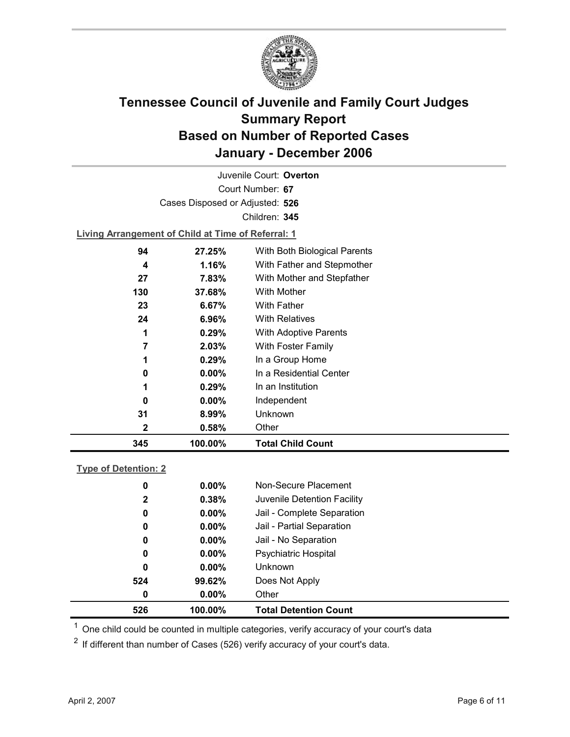

Court Number: **67** Juvenile Court: **Overton** Cases Disposed or Adjusted: **526** Children: **345**

**Living Arrangement of Child at Time of Referral: 1**

| 345 | 100.00%  | <b>Total Child Count</b>     |
|-----|----------|------------------------------|
| 2   | 0.58%    | Other                        |
| 31  | 8.99%    | Unknown                      |
| 0   | $0.00\%$ | Independent                  |
|     | 0.29%    | In an Institution            |
| 0   | $0.00\%$ | In a Residential Center      |
|     | 0.29%    | In a Group Home              |
|     | 2.03%    | With Foster Family           |
| 1   | 0.29%    | <b>With Adoptive Parents</b> |
| 24  | $6.96\%$ | <b>With Relatives</b>        |
| 23  | 6.67%    | With Father                  |
| 130 | 37.68%   | With Mother                  |
| 27  | 7.83%    | With Mother and Stepfather   |
| 4   | 1.16%    | With Father and Stepmother   |
| 94  | 27.25%   | With Both Biological Parents |
|     |          |                              |

#### **Type of Detention: 2**

| 526          | 100.00%  | <b>Total Detention Count</b> |  |
|--------------|----------|------------------------------|--|
| 0            | $0.00\%$ | Other                        |  |
| 524          | 99.62%   | Does Not Apply               |  |
| 0            | $0.00\%$ | <b>Unknown</b>               |  |
| 0            | $0.00\%$ | <b>Psychiatric Hospital</b>  |  |
| 0            | $0.00\%$ | Jail - No Separation         |  |
| 0            | $0.00\%$ | Jail - Partial Separation    |  |
| 0            | $0.00\%$ | Jail - Complete Separation   |  |
| $\mathbf{2}$ | 0.38%    | Juvenile Detention Facility  |  |
| 0            | $0.00\%$ | Non-Secure Placement         |  |
|              |          |                              |  |

 $<sup>1</sup>$  One child could be counted in multiple categories, verify accuracy of your court's data</sup>

 $2$  If different than number of Cases (526) verify accuracy of your court's data.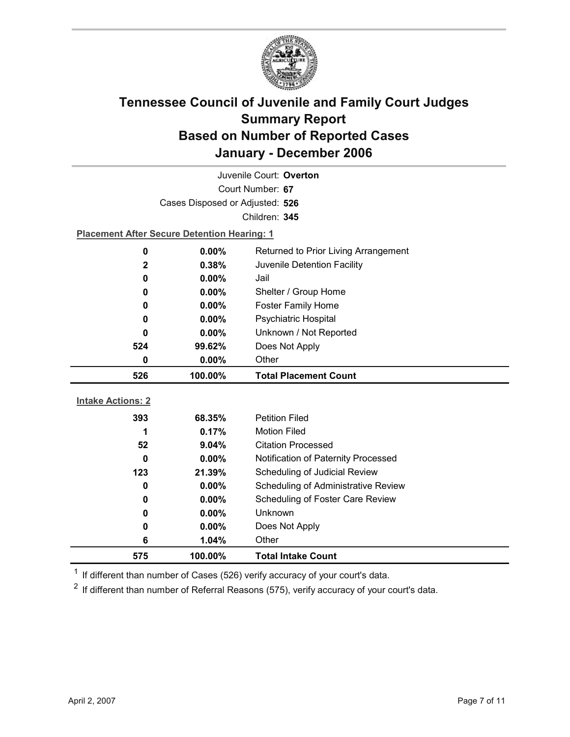

| Juvenile Court: Overton         |                                                    |                                      |  |  |  |
|---------------------------------|----------------------------------------------------|--------------------------------------|--|--|--|
|                                 | Court Number: 67                                   |                                      |  |  |  |
| Cases Disposed or Adjusted: 526 |                                                    |                                      |  |  |  |
|                                 | Children: 345                                      |                                      |  |  |  |
|                                 | <b>Placement After Secure Detention Hearing: 1</b> |                                      |  |  |  |
| $\mathbf 0$                     | 0.00%                                              | Returned to Prior Living Arrangement |  |  |  |
| $\mathbf 2$                     | 0.38%                                              | Juvenile Detention Facility          |  |  |  |
| 0                               | $0.00\%$                                           | Jail                                 |  |  |  |
| 0                               | 0.00%                                              | Shelter / Group Home                 |  |  |  |
| $\bf{0}$                        | $0.00\%$                                           | <b>Foster Family Home</b>            |  |  |  |
| 0                               | $0.00\%$                                           | <b>Psychiatric Hospital</b>          |  |  |  |
| $\bf{0}$                        | $0.00\%$                                           | Unknown / Not Reported               |  |  |  |
| 524                             | 99.62%                                             | Does Not Apply                       |  |  |  |
| $\bf{0}$                        | $0.00\%$                                           | Other                                |  |  |  |
|                                 |                                                    |                                      |  |  |  |
| 526                             | 100.00%                                            | <b>Total Placement Count</b>         |  |  |  |
|                                 |                                                    |                                      |  |  |  |
| <b>Intake Actions: 2</b>        |                                                    |                                      |  |  |  |
| 393                             | 68.35%                                             | <b>Petition Filed</b>                |  |  |  |
| 1                               | 0.17%                                              | <b>Motion Filed</b>                  |  |  |  |
| 52                              | 9.04%                                              | <b>Citation Processed</b>            |  |  |  |
| $\bf{0}$                        | 0.00%                                              | Notification of Paternity Processed  |  |  |  |
| 123                             | 21.39%                                             | Scheduling of Judicial Review        |  |  |  |
| $\bf{0}$                        | 0.00%                                              | Scheduling of Administrative Review  |  |  |  |
| $\bf{0}$                        | 0.00%                                              | Scheduling of Foster Care Review     |  |  |  |
| 0                               | $0.00\%$                                           | Unknown                              |  |  |  |
| 0                               | $0.00\%$                                           | Does Not Apply                       |  |  |  |
| $6\phantom{1}6$<br>575          | 1.04%<br>100.00%                                   | Other<br><b>Total Intake Count</b>   |  |  |  |

 $1$  If different than number of Cases (526) verify accuracy of your court's data.

 $2$  If different than number of Referral Reasons (575), verify accuracy of your court's data.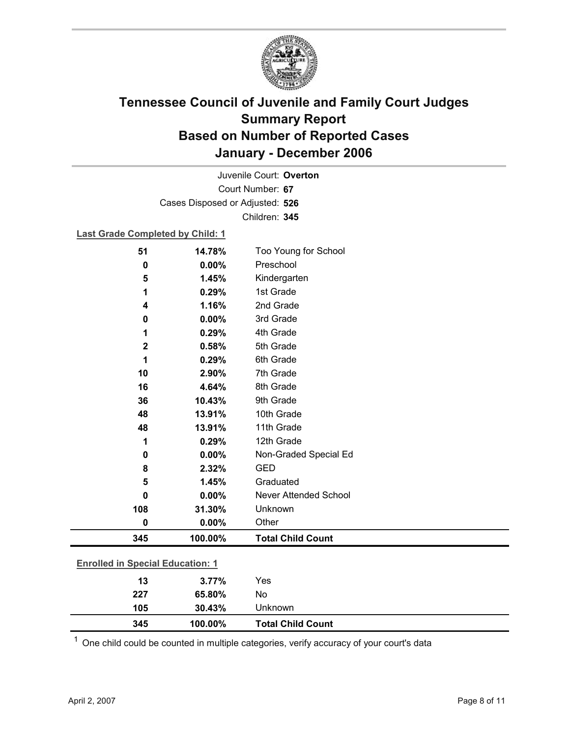

Court Number: **67** Juvenile Court: **Overton** Cases Disposed or Adjusted: **526** Children: **345**

#### **Last Grade Completed by Child: 1**

| 51                                      | 14.78%  | Too Young for School         |
|-----------------------------------------|---------|------------------------------|
| 0                                       | 0.00%   | Preschool                    |
| 5                                       | 1.45%   | Kindergarten                 |
| 1                                       | 0.29%   | 1st Grade                    |
| 4                                       | 1.16%   | 2nd Grade                    |
| 0                                       | 0.00%   | 3rd Grade                    |
| 1                                       | 0.29%   | 4th Grade                    |
| $\mathbf 2$                             | 0.58%   | 5th Grade                    |
| 1                                       | 0.29%   | 6th Grade                    |
| 10                                      | 2.90%   | 7th Grade                    |
| 16                                      | 4.64%   | 8th Grade                    |
| 36                                      | 10.43%  | 9th Grade                    |
| 48                                      | 13.91%  | 10th Grade                   |
| 48                                      | 13.91%  | 11th Grade                   |
| 1                                       | 0.29%   | 12th Grade                   |
| 0                                       | 0.00%   | Non-Graded Special Ed        |
| 8                                       | 2.32%   | <b>GED</b>                   |
| 5                                       | 1.45%   | Graduated                    |
| $\bf{0}$                                | 0.00%   | <b>Never Attended School</b> |
| 108                                     | 31.30%  | Unknown                      |
| 0                                       | 0.00%   | Other                        |
| 345                                     | 100.00% | <b>Total Child Count</b>     |
| <b>Enrolled in Special Education: 1</b> |         |                              |
| 13                                      | 3.77%   | Yes                          |
| 227                                     | 65.80%  | No                           |

 $1$  One child could be counted in multiple categories, verify accuracy of your court's data

**345 100.00% Total Child Count**

**105 30.43%** Unknown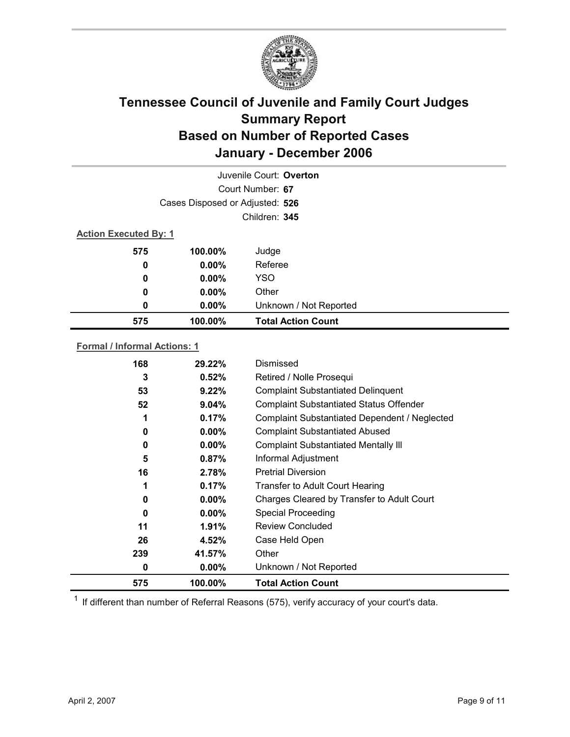

|                              |                                 | Juvenile Court: Overton   |
|------------------------------|---------------------------------|---------------------------|
|                              |                                 | Court Number: 67          |
|                              | Cases Disposed or Adjusted: 526 |                           |
|                              |                                 | Children: 345             |
| <b>Action Executed By: 1</b> |                                 |                           |
| 575                          | 100.00%                         | Judge                     |
| 0                            | $0.00\%$                        | Referee                   |
| 0                            | $0.00\%$                        | <b>YSO</b>                |
| 0                            | $0.00\%$                        | Other                     |
| 0                            | $0.00\%$                        | Unknown / Not Reported    |
| 575                          | 100.00%                         | <b>Total Action Count</b> |

#### **Formal / Informal Actions: 1**

| 0<br>11<br>26<br>239<br>0 | $0.00\%$<br>$1.91\%$<br>4.52%<br>41.57%<br>$0.00\%$ | Charges Cleared by Transfer to Adult Court<br><b>Special Proceeding</b><br>Review Concluded<br>Case Held Open<br>Other<br>Unknown / Not Reported |
|---------------------------|-----------------------------------------------------|--------------------------------------------------------------------------------------------------------------------------------------------------|
|                           |                                                     |                                                                                                                                                  |
|                           |                                                     |                                                                                                                                                  |
|                           |                                                     |                                                                                                                                                  |
|                           |                                                     |                                                                                                                                                  |
| 0                         | $0.00\%$                                            |                                                                                                                                                  |
|                           | 0.17%                                               | <b>Transfer to Adult Court Hearing</b>                                                                                                           |
|                           |                                                     | <b>Pretrial Diversion</b>                                                                                                                        |
| 5                         | $0.87\%$                                            | Informal Adjustment                                                                                                                              |
| 0                         | $0.00\%$                                            | <b>Complaint Substantiated Mentally III</b>                                                                                                      |
| 0                         | $0.00\%$                                            | <b>Complaint Substantiated Abused</b>                                                                                                            |
|                           | 0.17%                                               | Complaint Substantiated Dependent / Neglected                                                                                                    |
| 52                        | 9.04%                                               | <b>Complaint Substantiated Status Offender</b>                                                                                                   |
| 53                        | $9.22\%$                                            | <b>Complaint Substantiated Delinquent</b>                                                                                                        |
| 3                         | 0.52%                                               | Retired / Nolle Prosequi                                                                                                                         |
| 168                       | 29.22%                                              | Dismissed                                                                                                                                        |
|                           | 16                                                  | 2.78%                                                                                                                                            |

 $1$  If different than number of Referral Reasons (575), verify accuracy of your court's data.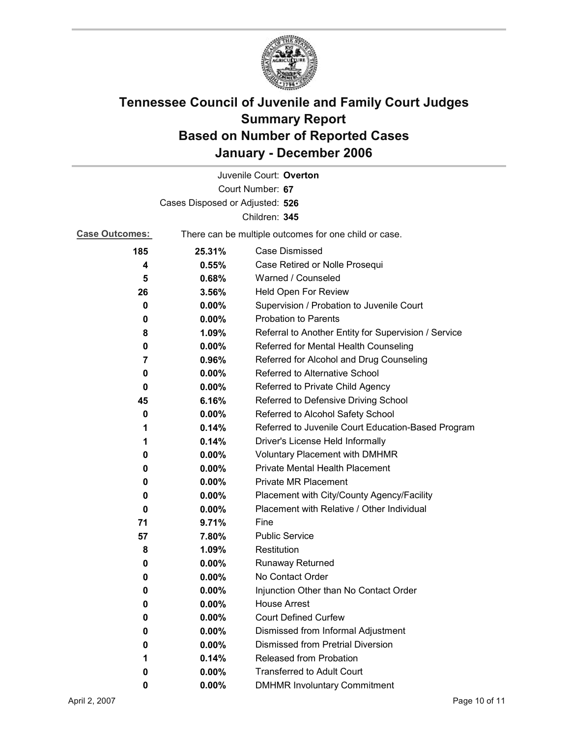

|                                 |                                                       | Juvenile Court: Overton                              |
|---------------------------------|-------------------------------------------------------|------------------------------------------------------|
|                                 |                                                       | Court Number: 67                                     |
| Cases Disposed or Adjusted: 526 |                                                       |                                                      |
|                                 |                                                       | Children: 345                                        |
| <b>Case Outcomes:</b>           | There can be multiple outcomes for one child or case. |                                                      |
| 185                             | 25.31%                                                | <b>Case Dismissed</b>                                |
| 4                               | 0.55%                                                 | Case Retired or Nolle Prosequi                       |
| 5                               | 0.68%                                                 | Warned / Counseled                                   |
| 26                              | 3.56%                                                 | Held Open For Review                                 |
| 0                               | $0.00\%$                                              | Supervision / Probation to Juvenile Court            |
| 0                               | 0.00%                                                 | <b>Probation to Parents</b>                          |
| 8                               | 1.09%                                                 | Referral to Another Entity for Supervision / Service |
| 0                               | 0.00%                                                 | Referred for Mental Health Counseling                |
| 7                               | 0.96%                                                 | Referred for Alcohol and Drug Counseling             |
| 0                               | 0.00%                                                 | Referred to Alternative School                       |
| 0                               | $0.00\%$                                              | Referred to Private Child Agency                     |
| 45                              | 6.16%                                                 | Referred to Defensive Driving School                 |
| 0                               | 0.00%                                                 | Referred to Alcohol Safety School                    |
| 1                               | 0.14%                                                 | Referred to Juvenile Court Education-Based Program   |
| 1                               | 0.14%                                                 | Driver's License Held Informally                     |
| 0                               | $0.00\%$                                              | <b>Voluntary Placement with DMHMR</b>                |
| 0                               | 0.00%                                                 | Private Mental Health Placement                      |
| 0                               | 0.00%                                                 | <b>Private MR Placement</b>                          |
| 0                               | $0.00\%$                                              | Placement with City/County Agency/Facility           |
| 0                               | $0.00\%$                                              | Placement with Relative / Other Individual           |
| 71                              | 9.71%                                                 | Fine                                                 |
| 57                              | 7.80%                                                 | <b>Public Service</b>                                |
| 8                               | 1.09%                                                 | Restitution                                          |
| 0                               | $0.00\%$                                              | <b>Runaway Returned</b>                              |
| 0                               | 0.00%                                                 | No Contact Order                                     |
| 0                               | 0.00%                                                 | Injunction Other than No Contact Order               |
| 0                               | 0.00%                                                 | <b>House Arrest</b>                                  |
| 0                               | 0.00%                                                 | <b>Court Defined Curfew</b>                          |
| 0                               | 0.00%                                                 | Dismissed from Informal Adjustment                   |
| 0                               | 0.00%                                                 | <b>Dismissed from Pretrial Diversion</b>             |
| 1                               | 0.14%                                                 | Released from Probation                              |
| 0                               | 0.00%                                                 | <b>Transferred to Adult Court</b>                    |
| 0                               | 0.00%                                                 | <b>DMHMR Involuntary Commitment</b>                  |